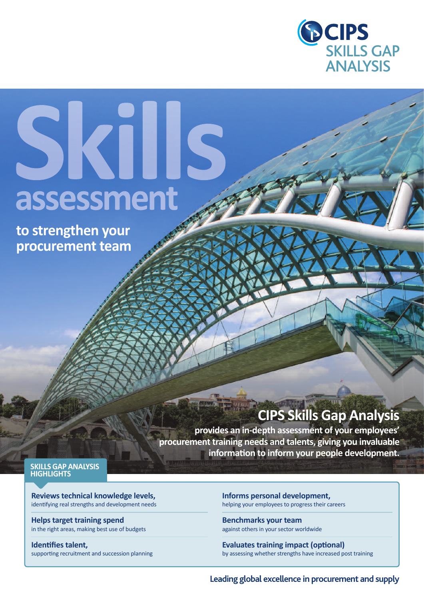

# Skills assessment

**to strengthen your procurement team**

### **CipS Skills Gap analysis**

**provides an in-depth assessment of your employees' procurement training needs and talents, giving you invaluable information to inform your people development.**

**SkillS Gap analySiS HiGHliGHTS**

**Reviews technical knowledge levels,** identifying real strengths and development needs

**Helps target training spend** in the right areas, making best use of budgets

**identifies talent,** supporting recruitment and succession planning **informs personal development,**  helping your employees to progress their careers

**Benchmarks your team** against others in your sector worldwide

**Evaluates training impact (optional)** by assessing whether strengths have increased post training

**Leading global excellence in procurement and supply**